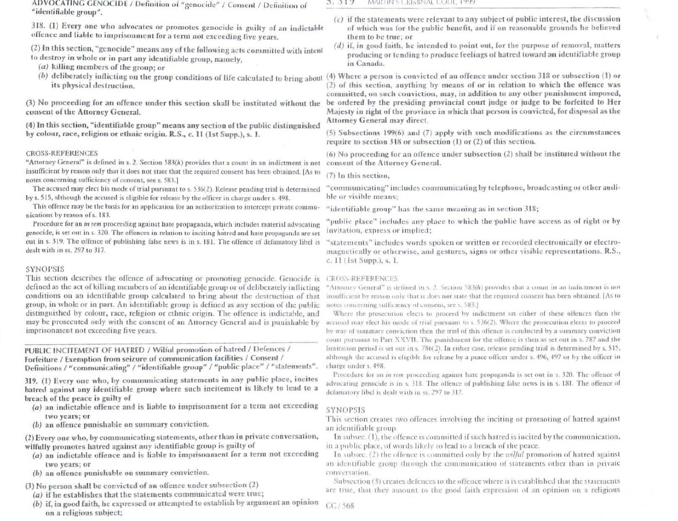ADVOCATING GENOCIDE / Definition of "genocide" / Consent / Definition of "identifiable group".

318. (1) Every one who advocates or promotes genocide is guilty of an indictable offence and liable to imprisonment for a term not exceeding five years.

(2) In this section, "genocide" means any of the following acts committed with intent to destroy in whole or in part any identifiable group, namely,

- $(a)$  killing members of the group; or
- its physical destruction.

(3) No proceeding for an offence under this section shall be instituted without the consent of the Attorney General.

(4) In this section, "identifiable group" means any section of the public distinguished by colour, race, religion or ethnic origin. R.S., c. 11 (1st Supp.), s. 1.

# **CROSS-REFERENCES**

"Attorney General" is defined in s. 2. Section 583(h) provides that a count in an indictment is not insufficient by reason only that it does not state that the required consent has been obtained. [As to notes concerning sufficiency of consent, see s. 583.1

The accused may elect his mode of trial pursuant to s. 536(2). Release pending trial is determined by s. 515, although the accused is eligible for release by the officer in charge under s. 498.

This offence may be the basis for an application for an authorization to intercept private communications by reason of s. 183.

Procedure for an *in rem* proceeding against hate propaganda, which includes material advocating genocide, is set out in s. 320. The offences in relation to inciting hatred and hate propaganda are set out in s. 319. The offence of publishing false news is in s. 181. The offence of defamatory libel is dealt with in ss. 297 to 317.

### **SYNOPSIS**

This section describes the offence of advocating or promoting genocide. Genocide is CROSS-REFERENCES defined as the act of killing members of an identifiable group or of deliberately inflicting conditions on an identifiable group calculated to bring about the destruction of that group, in whole or in part. An identifiable group is defined as any section of the public distinguished by colour, race, religion or ethnic origin. The offence is indictable, and may be prosecuted only with the consent of an Attorney General and is punishable by imprisonment not exceeding five years.

# PUBLIC INCITEMENT OF HATRED / Wilful promotion of hatred / Defences / Forfeiture / Exemption from seizure of communication facilities / Consent /

Definitions / "communicating" / "identifiable group" / "public place" / "statements".

319. (1) Every one who, by communicating statements in any public place, incites hatred against any identifiable group where such incitement is likely to lead to a breach of the peace is guilty of

- (a) an indictable offence and is liable to imprisonment for a term not exceeding two years; or
- (b) an offence punishable on summary conviction.

(2) Every one who, by communicating statements, other than in private conversation, wilfully promotes hatred against any identifiable group is guilty of

- (a) an indictable offence and is liable to imprisonment for a term not exceeding two vears; or
- (b) an offence punishable on summary conviction.
- (3) No person shall be convicted of an offence under subsection (2)
- $(a)$  if he establishes that the statements communicated were true;
- (b) if, in good faith, he expressed or attempted to establish by argument an opinion on a religious subject;

### $3.313$ MARTIN STRIVITATE COUL, 1999

- $(c)$  if the statements were relevant to any subject of public interest, the discussion of which was for the public benefit, and if on reasonable grounds he believed them to be true; or
- $(d)$  if, in good faith, he intended to point out, for the purpose of removal, matters producing or tending to produce feelings of hatred toward an identifiable group in Canada.

(b) deliberately inflicting on the group conditions of life calculated to bring about (4) Where a person is convicted of an offence under section 318 or subsection (1) or (2) of this section, anything by means of or in relation to which the offence was committed, on such conviction, may, in addition to any other punishment imposed, be ordered by the presiding provincial court judge or judge to be forfeited to Her Majesty in right of the province in which that person is convicted, for disposal as the Attorney General may direct.

> $(5)$  Subsections 199 $(6)$  and  $(7)$  apply with such modifications as the circumstances require to section  $318$  or subsection (1) or (2) of this section.

> (6) No proceeding for an offence under subsection (2) shall be instituted without the consent of the Attorney General.

 $(7)$  In this section.

"communicating" includes communicating by telephone, broadcasting or other audible or visible means:

"identifiable group" has the same meaning as in section 318;

"public place" includes any place to which the public have access as of right or by invitation, express or implied:

"statements" includes words spoken or written or recorded electronically or electromagnetically or otherwise, and gestures, signs or other visible representations. R.S., c. 11 (1st Supp.), s. 1.

"Attorney General" is defined in s. 2. Section  $583(h)$  provides that a count in an indictment is not insufficient by reason only that it does not state that the required consent has been obtained. [As to notes concerning sulficiency of consent, see s. 583.]

Where the prosecution elects to proceed by indictment on either of these offences then the accused may elect his mode of trial pursuant to s. 536(2). Where the prosecution elects to proceed by way of summary conviction then the trial of this offence is conducted by a summary conviction court pursuant to Part XXVII. The punishment for the offence is then as set out in s. 787 and the limitation period is set out in s. 786(2). In either case, release pending trial is determined by s. 515, although the accused is eligible for release by a peace officer under s. 496, 497 or by the officer in charge under s. 498.

Procedure for an in rem proceeding against hate propaganda is set out in s. 320. The offence of advocating genocide is in s. 318. The offence of publishing false news is in s. 181. The offence of defamatory libel is dealt with in ss. 297 to 317.

### **SYNOPSIS**

This section creates two offences involving the inciting or promoting of hatred against an identifiable group.

In subsec. (1), the offence is committed if such hatred is incited by the communication, in a public place, of words likely to lead to a breach of the peace.

In subsec.  $(2)$  the offence is committed only by the *wilful* promotion of hatred against an identifiable group through the communication of statements other than in private conversation.

Subsection (3) creates defences to the offence where it is established that the statements are true, that they amount to the good faith expression of an opinion on a religious

 $CC/568$